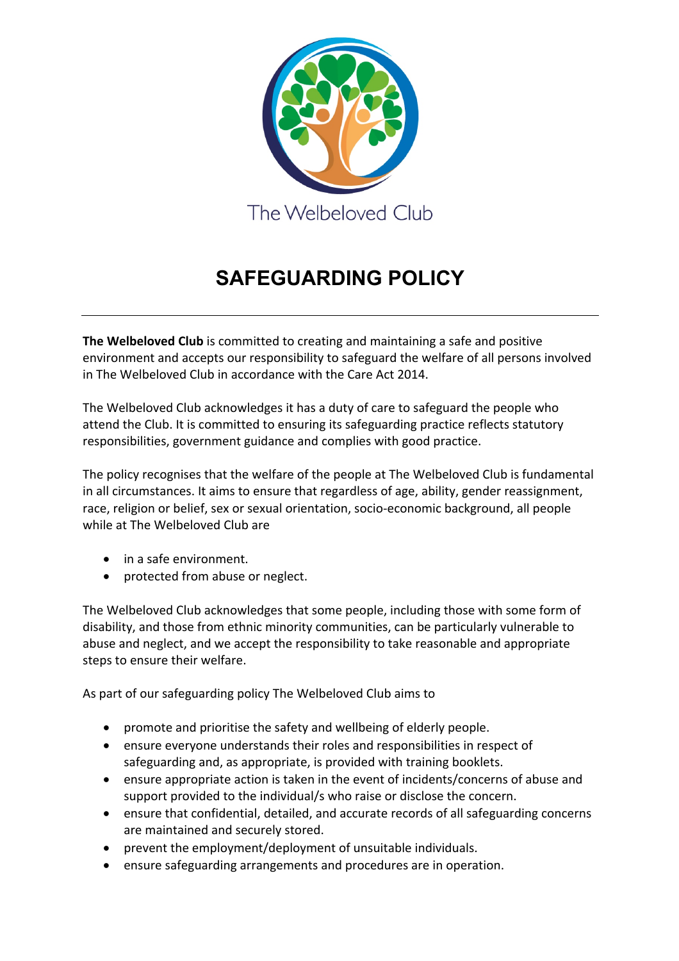

# **SAFEGUARDING POLICY**

**The Welbeloved Club** is committed to creating and maintaining a safe and positive environment and accepts our responsibility to safeguard the welfare of all persons involved in The Welbeloved Club in accordance with the Care Act 2014.

The Welbeloved Club acknowledges it has a duty of care to safeguard the people who attend the Club. It is committed to ensuring its safeguarding practice reflects statutory responsibilities, government guidance and complies with good practice.

The policy recognises that the welfare of the people at The Welbeloved Club is fundamental in all circumstances. It aims to ensure that regardless of age, ability, gender reassignment, race, religion or belief, sex or sexual orientation, socio-economic background, all people while at The Welbeloved Club are

- in a safe environment.
- protected from abuse or neglect.

The Welbeloved Club acknowledges that some people, including those with some form of disability, and those from ethnic minority communities, can be particularly vulnerable to abuse and neglect, and we accept the responsibility to take reasonable and appropriate steps to ensure their welfare.

As part of our safeguarding policy The Welbeloved Club aims to

- promote and prioritise the safety and wellbeing of elderly people.
- ensure everyone understands their roles and responsibilities in respect of safeguarding and, as appropriate, is provided with training booklets.
- ensure appropriate action is taken in the event of incidents/concerns of abuse and support provided to the individual/s who raise or disclose the concern.
- ensure that confidential, detailed, and accurate records of all safeguarding concerns are maintained and securely stored.
- prevent the employment/deployment of unsuitable individuals.
- ensure safeguarding arrangements and procedures are in operation.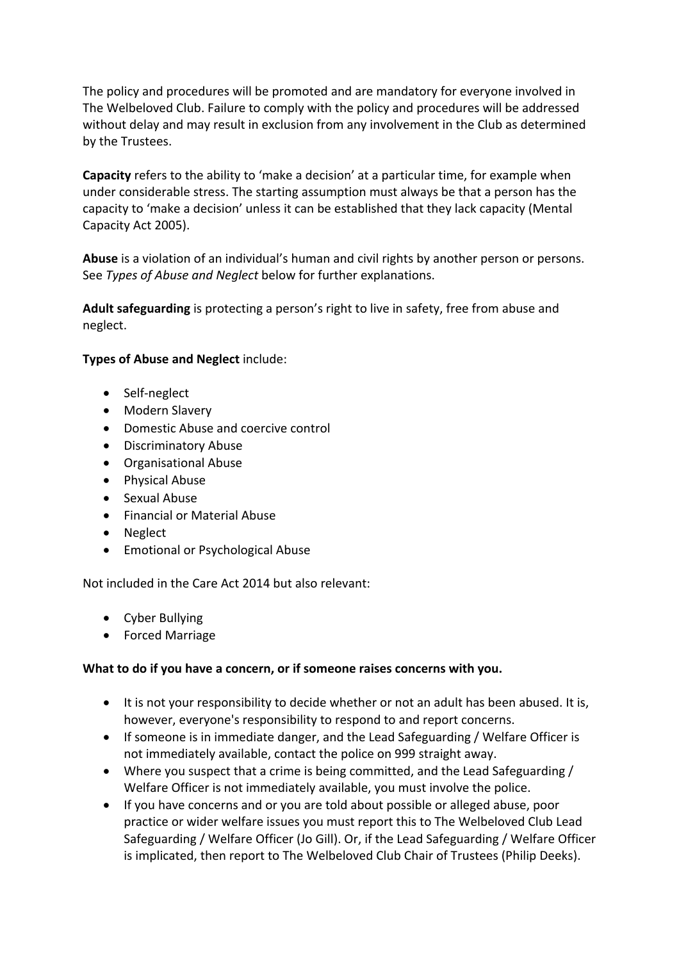The policy and procedures will be promoted and are mandatory for everyone involved in The Welbeloved Club. Failure to comply with the policy and procedures will be addressed without delay and may result in exclusion from any involvement in the Club as determined by the Trustees.

**Capacity** refers to the ability to 'make a decision' at a particular time, for example when under considerable stress. The starting assumption must always be that a person has the capacity to 'make a decision' unless it can be established that they lack capacity (Mental Capacity Act 2005).

**Abuse** is a violation of an individual's human and civil rights by another person or persons. See *Types of Abuse and Neglect* below for further explanations.

**Adult safeguarding** is protecting a person's right to live in safety, free from abuse and neglect.

# **Types of Abuse and Neglect** include:

- Self-neglect
- Modern Slavery
- Domestic Abuse and coercive control
- Discriminatory Abuse
- Organisational Abuse
- Physical Abuse
- Sexual Abuse
- Financial or Material Abuse
- Neglect
- Emotional or Psychological Abuse

Not included in the Care Act 2014 but also relevant:

- Cyber Bullying
- Forced Marriage

## **What to do if you have a concern, or if someone raises concerns with you.**

- It is not your responsibility to decide whether or not an adult has been abused. It is, however, everyone's responsibility to respond to and report concerns.
- If someone is in immediate danger, and the Lead Safeguarding / Welfare Officer is not immediately available, contact the police on 999 straight away.
- Where you suspect that a crime is being committed, and the Lead Safeguarding / Welfare Officer is not immediately available, you must involve the police.
- If you have concerns and or you are told about possible or alleged abuse, poor practice or wider welfare issues you must report this to The Welbeloved Club Lead Safeguarding / Welfare Officer (Jo Gill). Or, if the Lead Safeguarding / Welfare Officer is implicated, then report to The Welbeloved Club Chair of Trustees (Philip Deeks).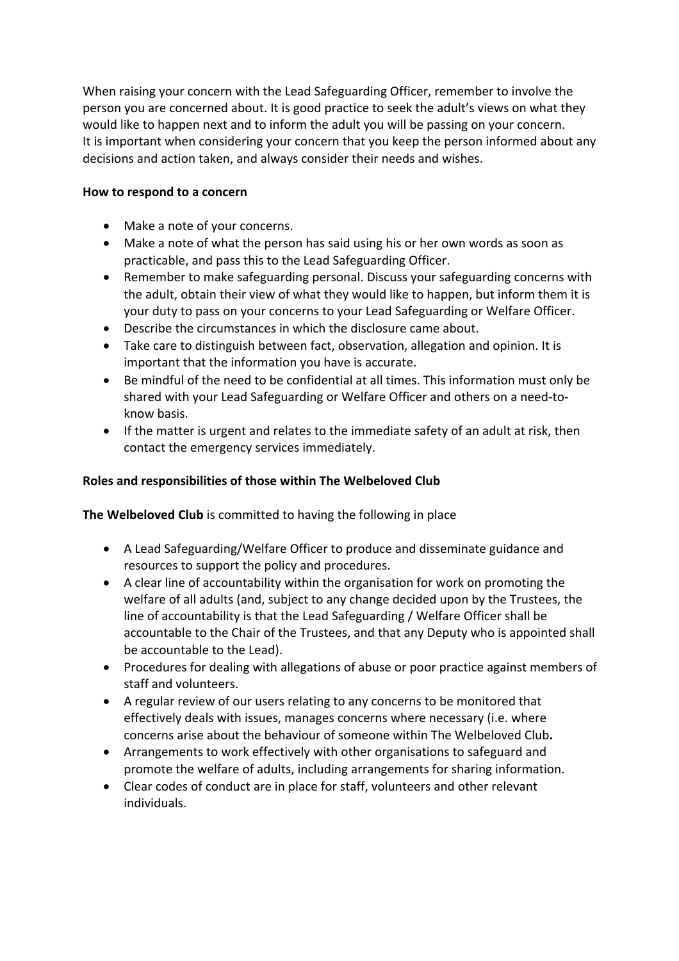When raising your concern with the Lead Safeguarding Officer, remember to involve the person you are concerned about. It is good practice to seek the adult's views on what they would like to happen next and to inform the adult you will be passing on your concern. It is important when considering your concern that you keep the person informed about any decisions and action taken, and always consider their needs and wishes.

# **How to respond to a concern**

- Make a note of your concerns.
- Make a note of what the person has said using his or her own words as soon as practicable, and pass this to the Lead Safeguarding Officer.
- Remember to make safeguarding personal. Discuss your safeguarding concerns with the adult, obtain their view of what they would like to happen, but inform them it is your duty to pass on your concerns to your Lead Safeguarding or Welfare Officer.
- Describe the circumstances in which the disclosure came about.
- Take care to distinguish between fact, observation, allegation and opinion. It is important that the information you have is accurate.
- Be mindful of the need to be confidential at all times. This information must only be shared with your Lead Safeguarding or Welfare Officer and others on a need-toknow basis.
- If the matter is urgent and relates to the immediate safety of an adult at risk, then contact the emergency services immediately.

# **Roles and responsibilities of those within The Welbeloved Club**

**The Welbeloved Club** is committed to having the following in place

- A Lead Safeguarding/Welfare Officer to produce and disseminate guidance and resources to support the policy and procedures.
- A clear line of accountability within the organisation for work on promoting the welfare of all adults (and, subject to any change decided upon by the Trustees, the line of accountability is that the Lead Safeguarding / Welfare Officer shall be accountable to the Chair of the Trustees, and that any Deputy who is appointed shall be accountable to the Lead).
- Procedures for dealing with allegations of abuse or poor practice against members of staff and volunteers.
- A regular review of our users relating to any concerns to be monitored that effectively deals with issues, manages concerns where necessary (i.e. where concerns arise about the behaviour of someone within The Welbeloved Club**.**
- Arrangements to work effectively with other organisations to safeguard and promote the welfare of adults, including arrangements for sharing information.
- Clear codes of conduct are in place for staff, volunteers and other relevant individuals.